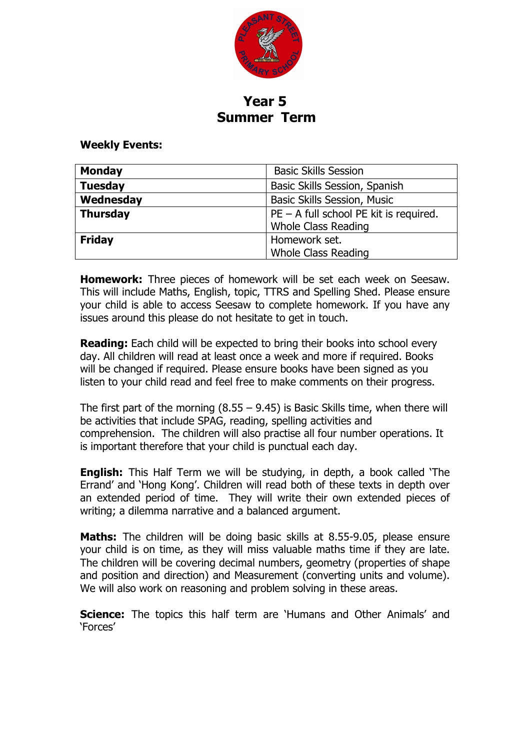

## **Year 5 Summer Term**

**Weekly Events:**

| <b>Monday</b>   | <b>Basic Skills Session</b>              |
|-----------------|------------------------------------------|
| <b>Tuesday</b>  | Basic Skills Session, Spanish            |
| Wednesday       | Basic Skills Session, Music              |
| <b>Thursday</b> | $PE - A$ full school PE kit is required. |
|                 | <b>Whole Class Reading</b>               |
| <b>Friday</b>   | Homework set.                            |
|                 | <b>Whole Class Reading</b>               |

**Homework:** Three pieces of homework will be set each week on Seesaw. This will include Maths, English, topic, TTRS and Spelling Shed. Please ensure your child is able to access Seesaw to complete homework. If you have any issues around this please do not hesitate to get in touch.

**Reading:** Each child will be expected to bring their books into school every day. All children will read at least once a week and more if required. Books will be changed if required. Please ensure books have been signed as you listen to your child read and feel free to make comments on their progress.

The first part of the morning  $(8.55 - 9.45)$  is Basic Skills time, when there will be activities that include SPAG, reading, spelling activities and comprehension. The children will also practise all four number operations. It is important therefore that your child is punctual each day.

**English:** This Half Term we will be studying, in depth, a book called 'The Errand' and 'Hong Kong'. Children will read both of these texts in depth over an extended period of time. They will write their own extended pieces of writing; a dilemma narrative and a balanced argument.

**Maths:** The children will be doing basic skills at 8.55-9.05, please ensure your child is on time, as they will miss valuable maths time if they are late. The children will be covering decimal numbers, geometry (properties of shape and position and direction) and Measurement (converting units and volume). We will also work on reasoning and problem solving in these areas.

**Science:** The topics this half term are 'Humans and Other Animals' and 'Forces'